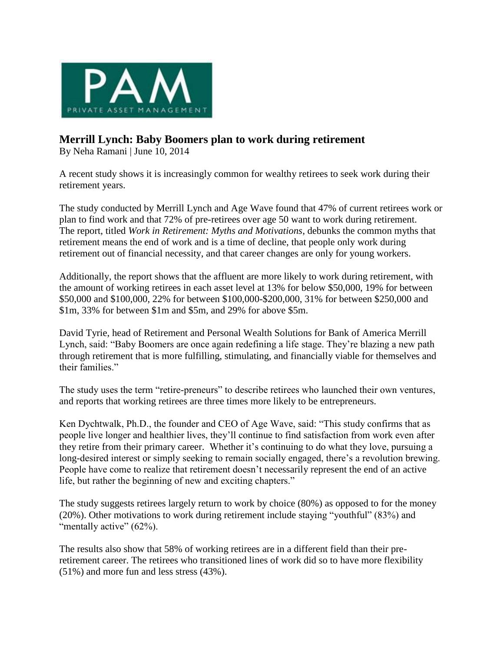

## **Merrill Lynch: Baby Boomers plan to work during retirement**

By Neha Ramani | June 10, 2014

A recent study shows it is increasingly common for wealthy retirees to seek work during their retirement years.

The study conducted by Merrill Lynch and Age Wave found that 47% of current retirees work or plan to find work and that 72% of pre-retirees over age 50 want to work during retirement. The report, titled *Work in Retirement: Myths and Motivations*, debunks the common myths that retirement means the end of work and is a time of decline, that people only work during retirement out of financial necessity, and that career changes are only for young workers.

Additionally, the report shows that the affluent are more likely to work during retirement, with the amount of working retirees in each asset level at 13% for below \$50,000, 19% for between \$50,000 and \$100,000, 22% for between \$100,000-\$200,000, 31% for between \$250,000 and \$1m, 33% for between \$1m and \$5m, and 29% for above \$5m.

David Tyrie, head of Retirement and Personal Wealth Solutions for Bank of America Merrill Lynch, said: "Baby Boomers are once again redefining a life stage. They're blazing a new path through retirement that is more fulfilling, stimulating, and financially viable for themselves and their families."

The study uses the term "retire-preneurs" to describe retirees who launched their own ventures, and reports that working retirees are three times more likely to be entrepreneurs.

Ken Dychtwalk, Ph.D., the founder and CEO of Age Wave, said: "This study confirms that as people live longer and healthier lives, they'll continue to find satisfaction from work even after they retire from their primary career. Whether it's continuing to do what they love, pursuing a long-desired interest or simply seeking to remain socially engaged, there's a revolution brewing. People have come to realize that retirement doesn't necessarily represent the end of an active life, but rather the beginning of new and exciting chapters."

The study suggests retirees largely return to work by choice (80%) as opposed to for the money (20%). Other motivations to work during retirement include staying "youthful" (83%) and "mentally active"  $(62\%)$ .

The results also show that 58% of working retirees are in a different field than their preretirement career. The retirees who transitioned lines of work did so to have more flexibility (51%) and more fun and less stress (43%).